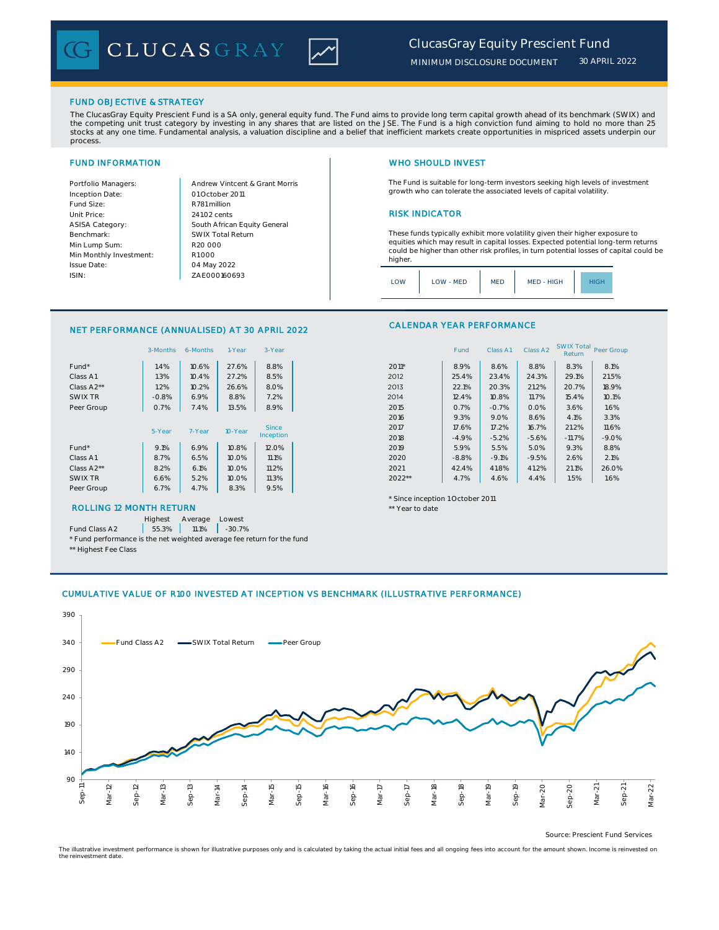

## FUND OBJECTIVE & STRATEGY

The ClucasGray Equity Prescient Fund is a SA only, general equity fund. The Fund aims to provide long term capital growth ahead of its benchmark (SWIX) and the competing unit trust category by investing in any shares that are listed on the JSE. The Fund is a high conviction fund aiming to hold no more than 25 stocks at any one time. Fundamental analysis, a valuation discipline and a belief that inefficient markets create opportunities in mispriced assets underpin our process.

Inception Date: Fund Size:<br>
Unit Price: 241.02 cent: ASISA Category: Benchmark: Min Lump Sum: Min Monthly Investment: Issue Date: ISIN:

Portfolio Managers: <br>Andrew Vintcent & Grant Morris South African Equity General 241.02 cents R1 000 01 October 2011 04 May 2022 R20 000 SWIX Total Return ZAE000160693

# FUND INFORMATION WHO SHOULD INVEST

The Fund is suitable for long-term investors seeking high levels of investment growth who can tolerate the associated levels of capital volatility.

## **RISK INDICATOR**

These funds typically exhibit more volatility given their higher exposure to equities which may result in capital losses. Expected potential long-term returns could be higher than other risk profiles, in turn potential losses of capital could be higher.

| ONV | LOW - MED | <b>MED</b> | MED - HIGH |  |
|-----|-----------|------------|------------|--|
|     |           |            |            |  |

## NET PERFORMANCE (ANNUALISED) AT 30 APRIL 2022

|            | 3-Months | 6-Months | 1-Year  | 3-Year    |                                  | Fund    | Class A1 | Class A2 | <b>SWIX TOTAL</b><br>Return | Peer Gro |
|------------|----------|----------|---------|-----------|----------------------------------|---------|----------|----------|-----------------------------|----------|
| Fund*      | 1.4%     | 10.6%    | 27.6%   | 8.8%      | 2011*                            | 8.9%    | 8.6%     | 8.8%     | 8.3%                        | 8.1%     |
| Class A1   | 1.3%     | 10.4%    | 27.2%   | 8.5%      | 2012                             | 25.4%   | 23.4%    | 24.3%    | 29.1%                       | 21.59    |
| Class A2** | 1.2%     | 10.2%    | 26.6%   | 8.0%      | 2013                             | 22.1%   | 20.3%    | 21.2%    | 20.7%                       | 18.99    |
| SWIX TR    | $-0.8%$  | 6.9%     | 8.8%    | 7.2%      | 2014                             | 12.4%   | 10.8%    | 11.7%    | 15.4%                       | 10.1%    |
| Peer Group | 0.7%     | 7.4%     | 13.5%   | 8.9%      | 2015                             | 0.7%    | $-0.7%$  | 0.0%     | 3.6%                        | 1.6%     |
|            |          |          |         |           | 2016                             | 9.3%    | 9.0%     | 8.6%     | 4.1%                        | 3.3%     |
|            | 5-Year   | 7-Year   | 10-Year | Since     | 2017                             | 17.6%   | 17.2%    | 16.7%    | 21.2%                       | 11.6%    |
|            |          |          |         | Inception | 2018                             | $-4.9%$ | $-5.2%$  | $-5.6%$  | $-11.7%$                    | $-9.09$  |
| Fund*      | 9.1%     | 6.9%     | 10.8%   | 12.0%     | 2019                             | 5.9%    | 5.5%     | 5.0%     | 9.3%                        | 8.8%     |
| Class A1   | 8.7%     | 6.5%     | 10.0%   | 11.1%     | 2020                             | $-8.8%$ | $-9.1%$  | $-9.5%$  | 2.6%                        | 2.1%     |
| Class A2** | 8.2%     | 6.1%     | 10.0%   | 11.2%     | 2021                             | 42.4%   | 41.8%    | 41.2%    | 21.1%                       | 26.09    |
| SWIX TR    | 6.6%     | 5.2%     | 10.0%   | 11.3%     | $2022**$                         | 4.7%    | 4.6%     | 4.4%     | 1.5%                        | 1.6%     |
| Peer Group | 6.7%     | 4.7%     | 8.3%    | 9.5%      |                                  |         |          |          |                             |          |
|            |          |          |         |           | * Since incention 1 October 2011 |         |          |          |                             |          |

## ROLLING 12 MONTH RETURN THE SECOND AND THE SECOND AND THE SECOND AND THE SECOND AND THE SECOND ASSESSMENT OF THE SECOND AND THE SECOND ASSESSMENT OF THE SECOND AND THE SECOND ASSESSMENT OF THE SECOND ASSESSMENT OF THE SECO

Highest Average Lowest

Fund Class A2  $\begin{array}{|c|c|c|c|c|} \hline \end{array}$  55.3% 11.1% -30.7%

\* Fund performance is the net weighted average fee return for the fund

\*\* Highest Fee Class

### CALENDAR YEAR PERFORMANCE

|                         | 3-Months | 6-Months | 1-Year    | 3-Year |         | Fund    | Class A1 | Class A2 | <b>SWIX Total</b><br>Return | Peer Group |
|-------------------------|----------|----------|-----------|--------|---------|---------|----------|----------|-----------------------------|------------|
| Fund*                   | 1.4%     | 10.6%    | 27.6%     | 8.8%   | 2011*   | 8.9%    | 8.6%     | 8.8%     | 8.3%                        | 8.1%       |
| Class A1                | 1.3%     | 10.4%    | 27.2%     | 8.5%   | 2012    | 25.4%   | 23.4%    | 24.3%    | 29.1%                       | 21.5%      |
| Class A <sub>2</sub> ** | 1.2%     | 10.2%    | 26.6%     | 8.0%   | 2013    | 22.1%   | 20.3%    | 21.2%    | 20.7%                       | 18.9%      |
| SWIX TR                 | $-0.8%$  | 6.9%     | 8.8%      | 7.2%   | 2014    | 12.4%   | 10.8%    | 11.7%    | 15.4%                       | 10.1%      |
| Peer Group              | 0.7%     | 7.4%     | 13.5%     | 8.9%   | 2015    | 0.7%    | $-0.7%$  | 0.0%     | 3.6%                        | 1.6%       |
|                         |          |          |           |        | 2016    | 9.3%    | 9.0%     | 8.6%     | 4.1%                        | 3.3%       |
|                         | 5-Year   | 7-Year   | 10-Year   | Since  | 2017    | 17.6%   | 17.2%    | 16.7%    | 21.2%                       | 11.6%      |
|                         |          |          | Inception | 2018   | $-4.9%$ | $-5.2%$ | $-5.6%$  | $-11.7%$ | $-9.0%$                     |            |
| Fund*                   | 9.1%     | 6.9%     | 10.8%     | 12.0%  | 2019    | 5.9%    | 5.5%     | 5.0%     | 9.3%                        | 8.8%       |
| Class A1                | 8.7%     | 6.5%     | 10.0%     | 11.1%  | 2020    | $-8.8%$ | $-9.1%$  | $-9.5%$  | 2.6%                        | 2.1%       |
| Class A2**              | 8.2%     | 6.1%     | 10.0%     | 11.2%  | 2021    | 42.4%   | 41.8%    | 41.2%    | 21.1%                       | 26.0%      |
| SWIX TR                 | 6.6%     | 5.2%     | 10.0%     | 11.3%  | 2022**  | 4.7%    | 4.6%     | 4.4%     | 1.5%                        | 1.6%       |

\* Since inception 1 October 2011

# CUMULATIVE VALUE OF R100 INVESTED AT INCEPTION VS BENCHMARK (ILLUSTRATIVE PERFORMANCE)



Source: Prescient Fund Services

The illustrative investment performance is shown for illustrative purposes only and is calculated by taking the actual initial fees and all ongoing fees into account for the amount shown. Income is reinvested on the reinvestment date.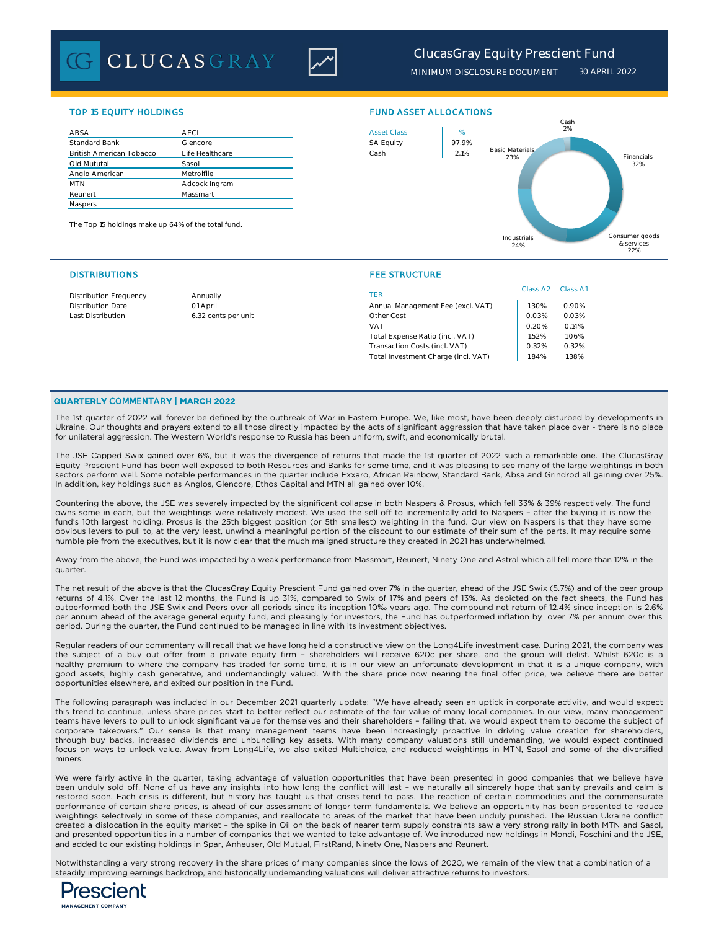**CLUCASGRAY** 



# *ClucasGray Equity Prescient Fund*

*MINIMUM DISCLOSURE DOCUMENT 30 APRIL 2022*

| ABSA                            | <b>AECI</b>     | <b>Asset Class</b> | %     |
|---------------------------------|-----------------|--------------------|-------|
| <b>Standard Bank</b>            | Glencore        | <b>SA Equity</b>   | 97.9% |
| <b>British American Tobacco</b> | Life Healthcare | Cash               | 2.1%  |
| Old Mututal                     | Sasol           |                    |       |
| Anglo American                  | Metrolfile      |                    |       |
| <b>MTN</b>                      | Adcock Ingram   |                    |       |
| Reunert                         | Massmart        |                    |       |
| Naspers                         |                 |                    |       |

The Top 15 holdings make up 64% of the total fund.

### DISTRIBUTIONS FEE STRUCTURE

## TOP 15 EQUITY HOLDINGS FUND ASSET ALLOCATIONS



| Distribution Frequency | Annually            | TER                                 | Class A <sub>2</sub> | Class A1 |
|------------------------|---------------------|-------------------------------------|----------------------|----------|
| Distribution Date      | 01 April            | Annual Management Fee (excl. VAT)   | .30%                 | 0.90%    |
| Last Distribution      | 6.32 cents per unit | Other Cost                          | 0.03%                | 0.03%    |
|                        |                     | <b>VAT</b>                          | 0.20%                | 0.14%    |
|                        |                     | Total Expense Ratio (incl. VAT)     | 1.52%                | 1.06%    |
|                        |                     | Transaction Costs (incl. VAT)       | 0.32%                | 0.32%    |
|                        |                     | Total Investment Charge (incl. VAT) | .84%                 | 1.38%    |
|                        |                     |                                     |                      |          |

## QUARTERLY COMMENTARY | MARCH 2022

The 1st quarter of 2022 will forever be defined by the outbreak of War in Eastern Europe. We, like most, have been deeply disturbed by developments in Ukraine. Our thoughts and prayers extend to all those directly impacted by the acts of significant aggression that have taken place over - there is no place for unilateral aggression. The Western World's response to Russia has been uniform, swift, and economically brutal.

The JSE Capped Swix gained over 6%, but it was the divergence of returns that made the 1st quarter of 2022 such a remarkable one. The ClucasGray Equity Prescient Fund has been well exposed to both Resources and Banks for some time, and it was pleasing to see many of the large weightings in both sectors perform well. Some notable performances in the quarter include Exxaro, African Rainbow, Standard Bank, Absa and Grindrod all gaining over 25%. In addition, key holdings such as Anglos, Glencore, Ethos Capital and MTN all gained over 10%.

Countering the above, the JSE was severely impacted by the significant collapse in both Naspers & Prosus, which fell 33% & 39% respectively. The fund owns some in each, but the weightings were relatively modest. We used the sell off to incrementally add to Naspers – after the buying it is now the fund's 10th largest holding. Prosus is the 25th biggest position (or 5th smallest) weighting in the fund. Our view on Naspers is that they have some obvious levers to pull to, at the very least, unwind a meaningful portion of the discount to our estimate of their sum of the parts. It may require some humble pie from the executives, but it is now clear that the much maligned structure they created in 2021 has underwhelmed.

Away from the above, the Fund was impacted by a weak performance from Massmart, Reunert, Ninety One and Astral which all fell more than 12% in the quarter.

The net result of the above is that the ClucasGray Equity Prescient Fund gained over 7% in the quarter, ahead of the JSE Swix (5.7%) and of the peer group returns of 4.1%. Over the last 12 months, the Fund is up 31%, compared to Swix of 17% and peers of 13%. As depicted on the fact sheets, the Fund has outperformed both the JSE Swix and Peers over all periods since its inception 10‰ years ago. The compound net return of 12.4% since inception is 2.6% per annum ahead of the average general equity fund, and pleasingly for investors, the Fund has outperformed inflation by over 7% per annum over this period. During the quarter, the Fund continued to be managed in line with its investment objectives.

Regular readers of our commentary will recall that we have long held a constructive view on the Long4Life investment case. During 2021, the company was the subject of a buy out offer from a private equity firm – shareholders will receive 620c per share, and the group will delist. Whilst 620c is a healthy premium to where the company has traded for some time, it is in our view an unfortunate development in that it is a unique company, with good assets, highly cash generative, and undemandingly valued. With the share price now nearing the final offer price, we believe there are better opportunities elsewhere, and exited our position in the Fund.

The following paragraph was included in our December 2021 quarterly update: "We have already seen an uptick in corporate activity, and would expect this trend to continue, unless share prices start to better reflect our estimate of the fair value of many local companies. In our view, many management teams have levers to pull to unlock significant value for themselves and their shareholders – failing that, we would expect them to become the subject of corporate takeovers." Our sense is that many management teams have been increasingly proactive in driving value creation for shareholders, through buy backs, increased dividends and unbundling key assets. With many company valuations still undemanding, we would expect continued focus on ways to unlock value. Away from Long4Life, we also exited Multichoice, and reduced weightings in MTN, Sasol and some of the diversified miners.

We were fairly active in the quarter, taking advantage of valuation opportunities that have been presented in good companies that we believe have been unduly sold off. None of us have any insights into how long the conflict will last – we naturally all sincerely hope that sanity prevails and calm is restored soon. Each crisis is different, but history has taught us that crises tend to pass. The reaction of certain commodities and the commensurate performance of certain share prices, is ahead of our assessment of longer term fundamentals. We believe an opportunity has been presented to reduce weightings selectively in some of these companies, and reallocate to areas of the market that have been unduly punished. The Russian Ukraine conflict created a dislocation in the equity market – the spike in Oil on the back of nearer term supply constraints saw a very strong rally in both MTN and Sasol, and presented opportunities in a number of companies that we wanted to take advantage of. We introduced new holdings in Mondi, Foschini and the JSE, and added to our existing holdings in Spar, Anheuser, Old Mutual, FirstRand, Ninety One, Naspers and Reunert.

Notwithstanding a very strong recovery in the share prices of many companies since the lows of 2020, we remain of the view that a combination of a steadily improving earnings backdrop, and historically undemanding valuations will deliver attractive returns to investors.